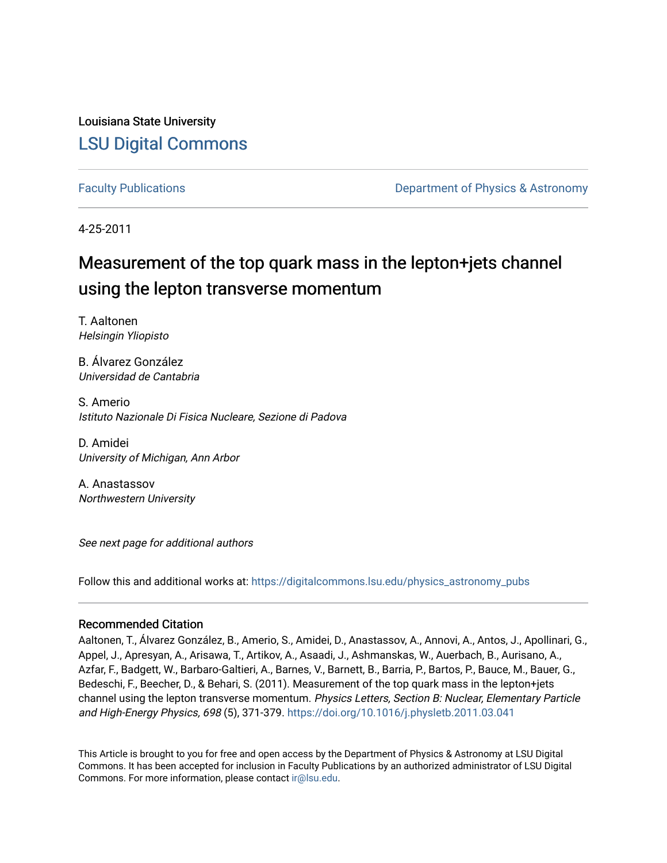Louisiana State University [LSU Digital Commons](https://digitalcommons.lsu.edu/)

[Faculty Publications](https://digitalcommons.lsu.edu/physics_astronomy_pubs) **Example 2** Constant Department of Physics & Astronomy

4-25-2011

# Measurement of the top quark mass in the lepton+jets channel using the lepton transverse momentum

T. Aaltonen Helsingin Yliopisto

B. Álvarez González Universidad de Cantabria

S. Amerio Istituto Nazionale Di Fisica Nucleare, Sezione di Padova

D. Amidei University of Michigan, Ann Arbor

A. Anastassov Northwestern University

See next page for additional authors

Follow this and additional works at: [https://digitalcommons.lsu.edu/physics\\_astronomy\\_pubs](https://digitalcommons.lsu.edu/physics_astronomy_pubs?utm_source=digitalcommons.lsu.edu%2Fphysics_astronomy_pubs%2F2365&utm_medium=PDF&utm_campaign=PDFCoverPages) 

# Recommended Citation

Aaltonen, T., Álvarez González, B., Amerio, S., Amidei, D., Anastassov, A., Annovi, A., Antos, J., Apollinari, G., Appel, J., Apresyan, A., Arisawa, T., Artikov, A., Asaadi, J., Ashmanskas, W., Auerbach, B., Aurisano, A., Azfar, F., Badgett, W., Barbaro-Galtieri, A., Barnes, V., Barnett, B., Barria, P., Bartos, P., Bauce, M., Bauer, G., Bedeschi, F., Beecher, D., & Behari, S. (2011). Measurement of the top quark mass in the lepton+jets channel using the lepton transverse momentum. Physics Letters, Section B: Nuclear, Elementary Particle and High-Energy Physics, 698 (5), 371-379. <https://doi.org/10.1016/j.physletb.2011.03.041>

This Article is brought to you for free and open access by the Department of Physics & Astronomy at LSU Digital Commons. It has been accepted for inclusion in Faculty Publications by an authorized administrator of LSU Digital Commons. For more information, please contact [ir@lsu.edu](mailto:ir@lsu.edu).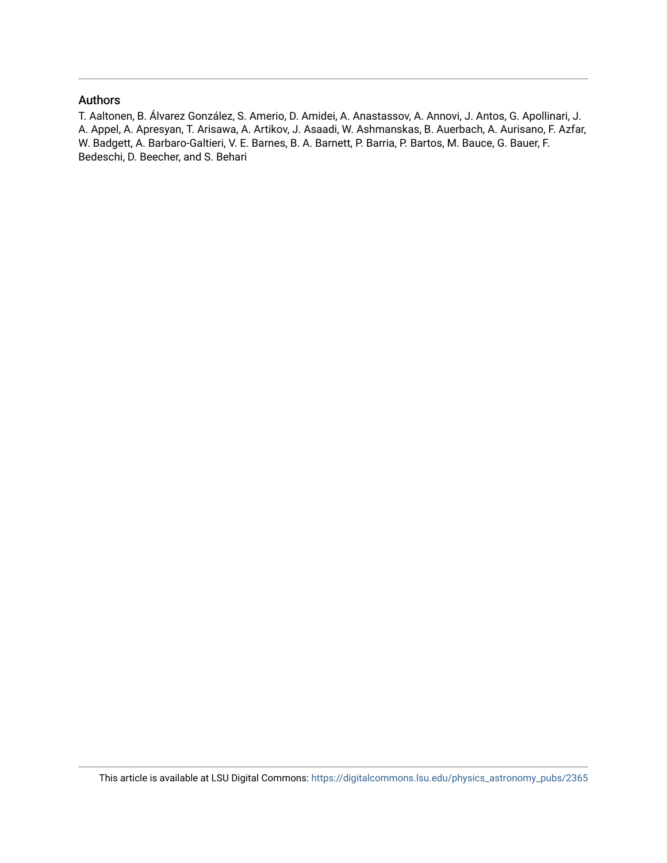# Authors

T. Aaltonen, B. Álvarez González, S. Amerio, D. Amidei, A. Anastassov, A. Annovi, J. Antos, G. Apollinari, J. A. Appel, A. Apresyan, T. Arisawa, A. Artikov, J. Asaadi, W. Ashmanskas, B. Auerbach, A. Aurisano, F. Azfar, W. Badgett, A. Barbaro-Galtieri, V. E. Barnes, B. A. Barnett, P. Barria, P. Bartos, M. Bauce, G. Bauer, F. Bedeschi, D. Beecher, and S. Behari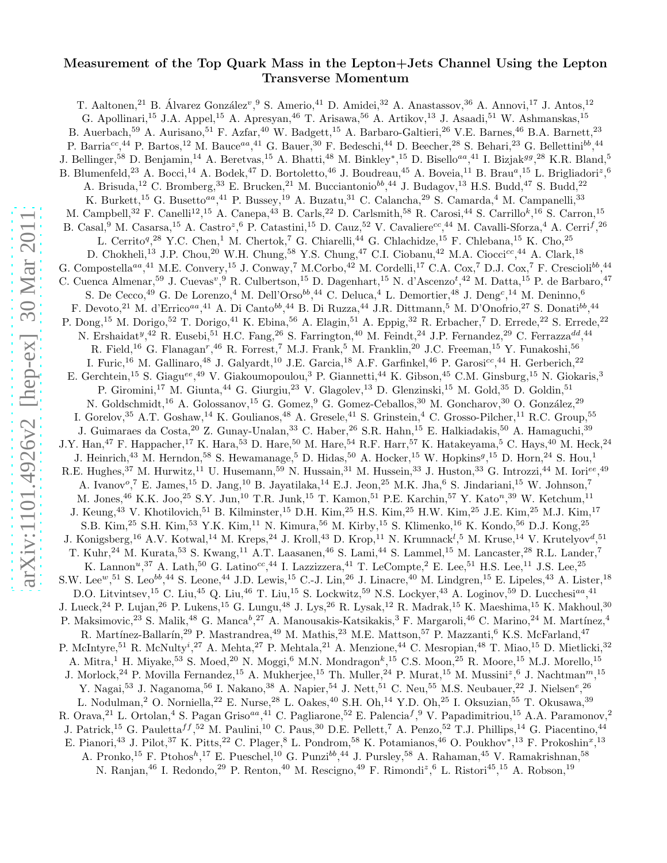# Measurement of the Top Quark Mass in the Lepton+Jets Channel Using the Lepton Transverse Momentum

T. Aaltonen,<sup>21</sup> B. Álvarez González<sup>v</sup>, <sup>9</sup> S. Amerio,<sup>41</sup> D. Amidei,<sup>32</sup> A. Anastassov, <sup>36</sup> A. Annovi, <sup>17</sup> J. Antos, <sup>12</sup> G. Apollinari,<sup>15</sup> J.A. Appel,<sup>15</sup> A. Apresyan,<sup>46</sup> T. Arisawa,<sup>56</sup> A. Artikov,<sup>13</sup> J. Asaadi,<sup>51</sup> W. Ashmanskas,<sup>15</sup> B. Auerbach,<sup>59</sup> A. Aurisano,<sup>51</sup> F. Azfar,<sup>40</sup> W. Badgett,<sup>15</sup> A. Barbaro-Galtieri,<sup>26</sup> V.E. Barnes,<sup>46</sup> B.A. Barnett,<sup>23</sup> P. Barria<sup>cc</sup>,<sup>44</sup> P. Bartos,<sup>12</sup> M. Bauce<sup>aa</sup>,<sup>41</sup> G. Bauer,<sup>30</sup> F. Bedeschi,<sup>44</sup> D. Beecher,<sup>28</sup> S. Behari,<sup>23</sup> G. Bellettini<sup>bb</sup>,<sup>44</sup> J. Bellinger,<sup>58</sup> D. Benjamin,<sup>14</sup> A. Beretvas,<sup>15</sup> A. Bhatti,<sup>48</sup> M. Binkley\*,<sup>15</sup> D. Bisello<sup>aa</sup>,<sup>41</sup> I. Bizjak<sup>99</sup>,<sup>28</sup> K.R. Bland,<sup>5</sup> B. Blumenfeld,<sup>23</sup> A. Bocci,<sup>14</sup> A. Bodek,<sup>47</sup> D. Bortoletto,<sup>46</sup> J. Boudreau,<sup>45</sup> A. Boveia,<sup>11</sup> B. Brau<sup>a</sup>,<sup>15</sup> L. Brigliadori<sup>z</sup>,<sup>6</sup> A. Brisuda,<sup>12</sup> C. Bromberg,<sup>33</sup> E. Brucken,<sup>21</sup> M. Bucciantonio<sup>bb</sup>,<sup>44</sup> J. Budagov,<sup>13</sup> H.S. Budd,<sup>47</sup> S. Budd,<sup>22</sup> K. Burkett,<sup>15</sup> G. Busetto<sup>aa</sup>,<sup>41</sup> P. Bussey,<sup>19</sup> A. Buzatu,<sup>31</sup> C. Calancha,<sup>29</sup> S. Camarda,<sup>4</sup> M. Campanelli,<sup>33</sup> M. Campbell,<sup>32</sup> F. Canelli<sup>12</sup>,<sup>15</sup> A. Canepa,<sup>43</sup> B. Carls,<sup>22</sup> D. Carlsmith,<sup>58</sup> R. Carosi,<sup>44</sup> S. Carrillo<sup>k</sup>,<sup>16</sup> S. Carron,<sup>15</sup> B. Casal,<sup>9</sup> M. Casarsa,<sup>15</sup> A. Castro<sup>z</sup>,<sup>6</sup> P. Catastini,<sup>15</sup> D. Cauz,<sup>52</sup> V. Cavaliere<sup>cc</sup>,<sup>44</sup> M. Cavalli-Sforza,<sup>4</sup> A. Cerri<sup>f</sup>,<sup>26</sup> L. Cerrito<sup>q</sup>,<sup>28</sup> Y.C. Chen,<sup>1</sup> M. Chertok,<sup>7</sup> G. Chiarelli,<sup>44</sup> G. Chlachidze,<sup>15</sup> F. Chlebana,<sup>15</sup> K. Cho,<sup>25</sup> D. Chokheli,<sup>13</sup> J.P. Chou,<sup>20</sup> W.H. Chung,<sup>58</sup> Y.S. Chung,<sup>47</sup> C.I. Ciobanu,<sup>42</sup> M.A. Ciocci<sup>cc</sup>,<sup>44</sup> A. Clark,<sup>18</sup> G. Compostella<sup>aa</sup>,<sup>41</sup> M.E. Convery,<sup>15</sup> J. Conway,<sup>7</sup> M.Corbo,<sup>42</sup> M. Cordelli,<sup>17</sup> C.A. Cox,<sup>7</sup> D.J. Cox,<sup>7</sup> F. Crescioli<sup>bb</sup>,<sup>44</sup> C. Cuenca Almenar,<sup>59</sup> J. Cuevas<sup>v</sup>, <sup>9</sup> R. Culbertson,<sup>15</sup> D. Dagenhart,<sup>15</sup> N. d'Ascenzo<sup>t</sup>,<sup>42</sup> M. Datta,<sup>15</sup> P. de Barbaro,<sup>47</sup> S. De Cecco,<sup>49</sup> G. De Lorenzo,<sup>4</sup> M. Dell'Orso<sup>bb</sup>,<sup>44</sup> C. Deluca,<sup>4</sup> L. Demortier,<sup>48</sup> J. Deng<sup>c</sup>,<sup>14</sup> M. Deninno,<sup>6</sup> F. Devoto,<sup>21</sup> M. d'Errico<sup>aa</sup>,<sup>41</sup> A. Di Canto<sup>bb</sup>,<sup>44</sup> B. Di Ruzza,<sup>44</sup> J.R. Dittmann,<sup>5</sup> M. D'Onofrio,<sup>27</sup> S. Donati<sup>bb</sup>,<sup>44</sup> P. Dong,<sup>15</sup> M. Dorigo,<sup>52</sup> T. Dorigo,<sup>41</sup> K. Ebina,<sup>56</sup> A. Elagin,<sup>51</sup> A. Eppig,<sup>32</sup> R. Erbacher,<sup>7</sup> D. Errede,<sup>22</sup> S. Errede,<sup>22</sup> N. Ershaidat<sup>y</sup>,<sup>42</sup> R. Eusebi,<sup>51</sup> H.C. Fang,<sup>26</sup> S. Farrington,<sup>40</sup> M. Feindt,<sup>24</sup> J.P. Fernandez,<sup>29</sup> C. Ferrazza<sup>dd</sup>,<sup>44</sup> R. Field,<sup>16</sup> G. Flanagan<sup>r</sup>,<sup>46</sup> R. Forrest,<sup>7</sup> M.J. Frank,<sup>5</sup> M. Franklin,<sup>20</sup> J.C. Freeman,<sup>15</sup> Y. Funakoshi,<sup>56</sup> I. Furic,<sup>16</sup> M. Gallinaro,<sup>48</sup> J. Galyardt,<sup>10</sup> J.E. Garcia,<sup>18</sup> A.F. Garfinkel,<sup>46</sup> P. Garosi<sup>cc</sup>,<sup>44</sup> H. Gerberich,<sup>22</sup> E. Gerchtein,<sup>15</sup> S. Giagu<sup>ee</sup>,<sup>49</sup> V. Giakoumopoulou,<sup>3</sup> P. Giannetti,<sup>44</sup> K. Gibson,<sup>45</sup> C.M. Ginsburg,<sup>15</sup> N. Giokaris,<sup>3</sup> P. Giromini,<sup>17</sup> M. Giunta,<sup>44</sup> G. Giurgiu,<sup>23</sup> V. Glagolev,<sup>13</sup> D. Glenzinski,<sup>15</sup> M. Gold,<sup>35</sup> D. Goldin,<sup>51</sup> N. Goldschmidt,<sup>16</sup> A. Golossanov,<sup>15</sup> G. Gomez,<sup>9</sup> G. Gomez-Ceballos,<sup>30</sup> M. Goncharov,<sup>30</sup> O. González,<sup>29</sup> I. Gorelov,<sup>35</sup> A.T. Goshaw,<sup>14</sup> K. Goulianos,<sup>48</sup> A. Gresele,<sup>41</sup> S. Grinstein,<sup>4</sup> C. Grosso-Pilcher,<sup>11</sup> R.C. Group,<sup>55</sup> J. Guimaraes da Costa, <sup>20</sup> Z. Gunay-Unalan, <sup>33</sup> C. Haber, <sup>26</sup> S.R. Hahn, <sup>15</sup> E. Halkiadakis, <sup>50</sup> A. Hamaguchi, <sup>39</sup> J.Y. Han,<sup>47</sup> F. Happacher,<sup>17</sup> K. Hara,<sup>53</sup> D. Hare,<sup>50</sup> M. Hare,<sup>54</sup> R.F. Harr,<sup>57</sup> K. Hatakeyama,<sup>5</sup> C. Hays,<sup>40</sup> M. Heck,<sup>24</sup> J. Heinrich,<sup>43</sup> M. Herndon,<sup>58</sup> S. Hewamanage,<sup>5</sup> D. Hidas,<sup>50</sup> A. Hocker,<sup>15</sup> W. Hopkins<sup>9</sup>,<sup>15</sup> D. Horn,<sup>24</sup> S. Hou,<sup>1</sup> R.E. Hughes,<sup>37</sup> M. Hurwitz,<sup>11</sup> U. Husemann,<sup>59</sup> N. Hussain,<sup>31</sup> M. Hussein,<sup>33</sup> J. Huston,<sup>33</sup> G. Introzzi,<sup>44</sup> M. Iori<sup>ee</sup>,<sup>49</sup> A. Ivanov<sup>o</sup>,<sup>7</sup> E. James,<sup>15</sup> D. Jang,<sup>10</sup> B. Jayatilaka,<sup>14</sup> E.J. Jeon,<sup>25</sup> M.K. Jha,<sup>6</sup> S. Jindariani,<sup>15</sup> W. Johnson,<sup>7</sup> M. Jones, <sup>46</sup> K.K. Joo, <sup>25</sup> S.Y. Jun, <sup>10</sup> T.R. Junk, <sup>15</sup> T. Kamon, <sup>51</sup> P.E. Karchin, <sup>57</sup> Y. Kato<sup>n</sup>, <sup>39</sup> W. Ketchum, <sup>11</sup> J. Keung,<sup>43</sup> V. Khotilovich,<sup>51</sup> B. Kilminster,<sup>15</sup> D.H. Kim,<sup>25</sup> H.S. Kim,<sup>25</sup> H.W. Kim,<sup>25</sup> J.E. Kim,<sup>25</sup> M.J. Kim,<sup>17</sup> S.B. Kim,<sup>25</sup> S.H. Kim,<sup>53</sup> Y.K. Kim,<sup>11</sup> N. Kimura,<sup>56</sup> M. Kirby,<sup>15</sup> S. Klimenko,<sup>16</sup> K. Kondo,<sup>56</sup> D.J. Kong,<sup>25</sup> J. Konigsberg,<sup>16</sup> A.V. Kotwal,<sup>14</sup> M. Kreps,<sup>24</sup> J. Kroll,<sup>43</sup> D. Krop,<sup>11</sup> N. Krumnack<sup>l</sup>,<sup>5</sup> M. Kruse,<sup>14</sup> V. Krutelyov<sup>d</sup>,<sup>51</sup> T. Kuhr,<sup>24</sup> M. Kurata,<sup>53</sup> S. Kwang,<sup>11</sup> A.T. Laasanen,<sup>46</sup> S. Lami,<sup>44</sup> S. Lammel,<sup>15</sup> M. Lancaster,<sup>28</sup> R.L. Lander,<sup>7</sup> K. Lannon<sup>u</sup>,<sup>37</sup> A. Lath,<sup>50</sup> G. Latino<sup>cc</sup>,<sup>44</sup> I. Lazzizzera,<sup>41</sup> T. LeCompte,<sup>2</sup> E. Lee,<sup>51</sup> H.S. Lee,<sup>11</sup> J.S. Lee,<sup>25</sup> S.W. Lee<sup>w</sup>, <sup>51</sup> S. Leo<sup>bb</sup>, <sup>44</sup> S. Leone, <sup>44</sup> J.D. Lewis, <sup>15</sup> C.-J. Lin, <sup>26</sup> J. Linacre, <sup>40</sup> M. Lindgren, <sup>15</sup> E. Lipeles, <sup>43</sup> A. Lister, <sup>18</sup> D.O. Litvintsev,  $^{15}$  C. Liu,  $^{45}$  Q. Liu,  $^{46}$  T. Liu,  $^{15}$  S. Lockwitz,  $^{59}$  N.S. Lockyer,  $^{43}$  A. Loginov,  $^{59}$  D. Lucchesi $^{a}$ ,  $^{41}$ J. Lueck,<sup>24</sup> P. Lujan,<sup>26</sup> P. Lukens,<sup>15</sup> G. Lungu,<sup>48</sup> J. Lys,<sup>26</sup> R. Lysak,<sup>12</sup> R. Madrak,<sup>15</sup> K. Maeshima,<sup>15</sup> K. Makhoul,<sup>30</sup> P. Maksimovic,<sup>23</sup> S. Malik,<sup>48</sup> G. Manca<sup>b</sup>,<sup>27</sup> A. Manousakis-Katsikakis,<sup>3</sup> F. Margaroli,<sup>46</sup> C. Marino,<sup>24</sup> M. Martínez,<sup>4</sup> R. Martínez-Ballarín,<sup>29</sup> P. Mastrandrea,<sup>49</sup> M. Mathis,<sup>23</sup> M.E. Mattson,<sup>57</sup> P. Mazzanti,<sup>6</sup> K.S. McFarland,<sup>47</sup> P. McIntyre,<sup>51</sup> R. McNulty<sup>i</sup>,<sup>27</sup> A. Mehta,<sup>27</sup> P. Mehtala,<sup>21</sup> A. Menzione,<sup>44</sup> C. Mesropian,<sup>48</sup> T. Miao,<sup>15</sup> D. Mietlicki,<sup>32</sup> A. Mitra,<sup>1</sup> H. Miyake,<sup>53</sup> S. Moed,<sup>20</sup> N. Moggi,<sup>6</sup> M.N. Mondragon<sup>k</sup>,<sup>15</sup> C.S. Moon,<sup>25</sup> R. Moore,<sup>15</sup> M.J. Morello,<sup>15</sup> J. Morlock,  $24$  P. Movilla Fernandez,  $^{15}$  A. Mukherjee,  $^{15}$  Th. Muller,  $^{24}$  P. Murat,  $^{15}$  M. Mussini $^z$ ,  $^6$  J. Nachtman $^m$ ,  $^{15}$ Y. Nagai,<sup>53</sup> J. Naganoma,<sup>56</sup> I. Nakano,<sup>38</sup> A. Napier,<sup>54</sup> J. Nett,<sup>51</sup> C. Neu,<sup>55</sup> M.S. Neubauer,<sup>22</sup> J. Nielsen<sup>e</sup>,<sup>26</sup> L. Nodulman,<sup>2</sup> O. Norniella,<sup>22</sup> E. Nurse,<sup>28</sup> L. Oakes,<sup>40</sup> S.H. Oh,<sup>14</sup> Y.D. Oh,<sup>25</sup> I. Oksuzian,<sup>55</sup> T. Okusawa,<sup>39</sup> R. Orava,<sup>21</sup> L. Ortolan,<sup>4</sup> S. Pagan Griso<sup>aa</sup>,<sup>41</sup> C. Pagliarone,<sup>52</sup> E. Palencia<sup>f</sup>, <sup>9</sup> V. Papadimitriou,<sup>15</sup> A.A. Paramonov,<sup>2</sup> J. Patrick,<sup>15</sup> G. Pauletta<sup>ff</sup>,<sup>52</sup> M. Paulini,<sup>10</sup> C. Paus,<sup>30</sup> D.E. Pellett,<sup>7</sup> A. Penzo,<sup>52</sup> T.J. Phillips,<sup>14</sup> G. Piacentino,<sup>44</sup> E. Pianori,<sup>43</sup> J. Pilot,<sup>37</sup> K. Pitts,<sup>22</sup> C. Plager,<sup>8</sup> L. Pondrom,<sup>58</sup> K. Potamianos,<sup>46</sup> O. Poukhov\*,<sup>13</sup> F. Prokoshin<sup>x</sup>,<sup>13</sup> A. Pronko,<sup>15</sup> F. Ptohos<sup>h</sup>,<sup>17</sup> E. Pueschel,<sup>10</sup> G. Punzi<sup>bb</sup>,<sup>44</sup> J. Pursley,<sup>58</sup> A. Rahaman,<sup>45</sup> V. Ramakrishnan,<sup>58</sup> N. Ranjan,<sup>46</sup> I. Redondo,<sup>29</sup> P. Renton,<sup>40</sup> M. Rescigno,<sup>49</sup> F. Rimondi<sup>z</sup>,<sup>6</sup> L. Ristori<sup>45</sup>,<sup>15</sup> A. Robson,<sup>19</sup>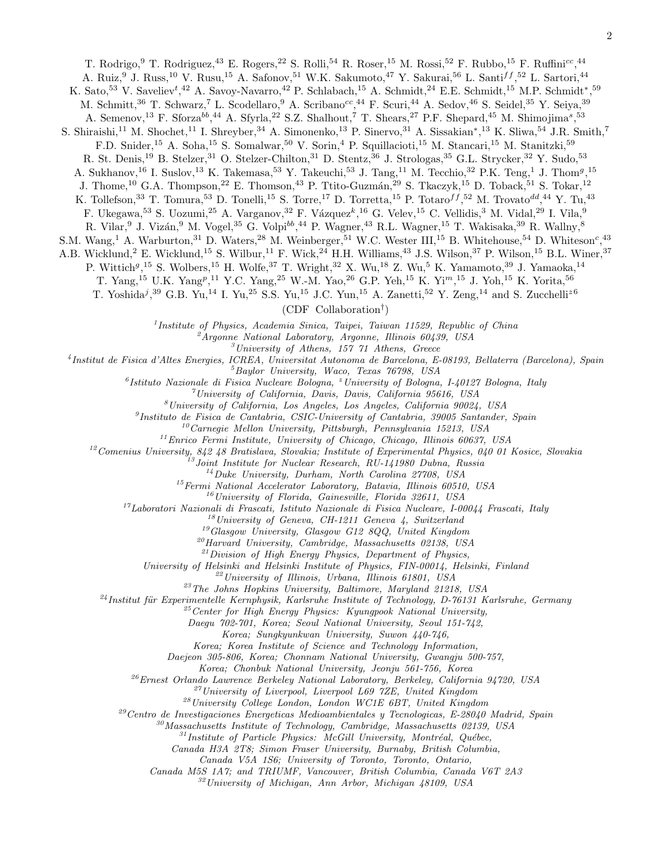T. Rodrigo, <sup>9</sup> T. Rodriguez, <sup>43</sup> E. Rogers, <sup>22</sup> S. Rolli, <sup>54</sup> R. Roser, <sup>15</sup> M. Rossi, <sup>52</sup> F. Rubbo, <sup>15</sup> F. Ruffini<sup>cc</sup>, <sup>44</sup>

A. Ruiz,<sup>9</sup> J. Russ,<sup>10</sup> V. Rusu,<sup>15</sup> A. Safonov,<sup>51</sup> W.K. Sakumoto,<sup>47</sup> Y. Sakurai,<sup>56</sup> L. Santi<sup>ff</sup>,<sup>52</sup> L. Sartori,<sup>44</sup>

K. Sato,<sup>53</sup> V. Saveliev<sup>t</sup>,<sup>42</sup> A. Savoy-Navarro,<sup>42</sup> P. Schlabach,<sup>15</sup> A. Schmidt,<sup>24</sup> E.E. Schmidt,<sup>15</sup> M.P. Schmidt<sup>\*</sup>,<sup>59</sup>

M. Schmitt,<sup>36</sup> T. Schwarz,<sup>7</sup> L. Scodellaro,<sup>9</sup> A. Scribano<sup>cc</sup>,<sup>44</sup> F. Scuri,<sup>44</sup> A. Sedov,<sup>46</sup> S. Seidel,<sup>35</sup> Y. Seiya,<sup>39</sup>

A. Semenov,<sup>13</sup> F. Sforza<sup>bb</sup>,<sup>44</sup> A. Sfyrla,<sup>22</sup> S.Z. Shalhout,<sup>7</sup> T. Shears,<sup>27</sup> P.F. Shepard,<sup>45</sup> M. Shimojima<sup>s</sup>,<sup>53</sup>

S. Shiraishi,<sup>11</sup> M. Shochet,<sup>11</sup> I. Shreyber,<sup>34</sup> A. Simonenko,<sup>13</sup> P. Sinervo,<sup>31</sup> A. Sissakian<sup>\*</sup>,<sup>13</sup> K. Sliwa,<sup>54</sup> J.R. Smith,<sup>7</sup>

F.D. Snider,<sup>15</sup> A. Soha,<sup>15</sup> S. Somalwar,<sup>50</sup> V. Sorin,<sup>4</sup> P. Squillacioti,<sup>15</sup> M. Stancari,<sup>15</sup> M. Stanitzki,<sup>59</sup>

R. St. Denis,<sup>19</sup> B. Stelzer,<sup>31</sup> O. Stelzer-Chilton,<sup>31</sup> D. Stentz,<sup>36</sup> J. Strologas,<sup>35</sup> G.L. Strycker,<sup>32</sup> Y. Sudo,<sup>53</sup>

A. Sukhanov,<sup>16</sup> I. Suslov,<sup>13</sup> K. Takemasa,<sup>53</sup> Y. Takeuchi,<sup>53</sup> J. Tang,<sup>11</sup> M. Tecchio,<sup>32</sup> P.K. Teng,<sup>1</sup> J. Thom<sup>g</sup>,<sup>15</sup>

J. Thome,<sup>10</sup> G.A. Thompson,<sup>22</sup> E. Thomson,<sup>43</sup> P. Ttito-Guzmán,<sup>29</sup> S. Tkaczyk,<sup>15</sup> D. Toback,<sup>51</sup> S. Tokar,<sup>12</sup>

K. Tollefson,<sup>33</sup> T. Tomura,<sup>53</sup> D. Tonelli,<sup>15</sup> S. Torre,<sup>17</sup> D. Torretta,<sup>15</sup> P. Totaro<sup>f f</sup>,<sup>52</sup> M. Trovato<sup>dd</sup>,<sup>44</sup> Y. Tu,<sup>43</sup>

F. Ukegawa,  $5^3$  S. Uozumi,  $2^5$  A. Varganov,  $3^2$  F. Vázquez $^k$ ,  $1^6$  G. Velev,  $1^5$  C. Vellidis,  $3^3$  M. Vidal,  $2^9$  I. Vila,  $9^4$ 

R. Vilar,  $9$  J. Vizán,  $9$  M. Vogel,  $35$  G. Volpi $^{bb}, ^{44}$  P. Wagner,  $^{43}$  R.L. Wagner,  $^{15}$  T. Wakisaka,  $^{39}$  R. Wallny,  $^8$ 

S.M. Wang,<sup>1</sup> A. Warburton,<sup>31</sup> D. Waters,<sup>28</sup> M. Weinberger,<sup>51</sup> W.C. Wester III,<sup>15</sup> B. Whitehouse,<sup>54</sup> D. Whiteson<sup>c</sup>,<sup>43</sup>

A.B. Wicklund,<sup>2</sup> E. Wicklund,<sup>15</sup> S. Wilbur,<sup>11</sup> F. Wick,<sup>24</sup> H.H. Williams,<sup>43</sup> J.S. Wilson,<sup>37</sup> P. Wilson,<sup>15</sup> B.L. Winer,<sup>37</sup>

P. Wittich<sup>9</sup>,<sup>15</sup> S. Wolbers,<sup>15</sup> H. Wolfe,<sup>37</sup> T. Wright,<sup>32</sup> X. Wu,<sup>18</sup> Z. Wu,<sup>5</sup> K. Yamamoto,<sup>39</sup> J. Yamaoka,<sup>14</sup>

T. Yang,<sup>15</sup> U.K. Yang<sup>p</sup>,<sup>11</sup> Y.C. Yang,<sup>25</sup> W.-M. Yao,<sup>26</sup> G.P. Yeh,<sup>15</sup> K. Yi<sup>m</sup>,<sup>15</sup> J. Yoh,<sup>15</sup> K. Yorita,<sup>56</sup>

T. Yoshida<sup>j</sup>,<sup>39</sup> G.B. Yu,<sup>14</sup> I. Yu,<sup>25</sup> S.S. Yu,<sup>15</sup> J.C. Yun,<sup>15</sup> A. Zanetti,<sup>52</sup> Y. Zeng,<sup>14</sup> and S. Zucchelli<sup>z6</sup>

(CDF Collaboration† )

1 *Institute of Physics, Academia Sinica, Taipei, Taiwan 11529, Republic of China*

<sup>2</sup>*Argonne National Laboratory, Argonne, Illinois 60439, USA*

<sup>3</sup>*University of Athens, 157 71 Athens, Greece*

4 *Institut de Fisica d'Altes Energies, ICREA, Universitat Autonoma de Barcelona, E-08193, Bellaterra (Barcelona), Spain*

<sup>5</sup>*Baylor University, Waco, Texas 76798, USA*

6 *Istituto Nazionale di Fisica Nucleare Bologna,* <sup>z</sup>*University of Bologna, I-40127 Bologna, Italy*

<sup>7</sup>*University of California, Davis, Davis, California 95616, USA*

<sup>8</sup>*University of California, Los Angeles, Los Angeles, California 90024, USA*

9 *Instituto de Fisica de Cantabria, CSIC-University of Cantabria, 39005 Santander, Spain*

<sup>10</sup>*Carnegie Mellon University, Pittsburgh, Pennsylvania 15213, USA*

<sup>11</sup>*Enrico Fermi Institute, University of Chicago, Chicago, Illinois 60637, USA*

<sup>12</sup>*Comenius University, 842 48 Bratislava, Slovakia; Institute of Experimental Physics, 040 01 Kosice, Slovakia*

<sup>13</sup>*Joint Institute for Nuclear Research, RU-141980 Dubna, Russia*

<sup>14</sup>*Duke University, Durham, North Carolina 27708, USA*

<sup>15</sup>*Fermi National Accelerator Laboratory, Batavia, Illinois 60510, USA*

<sup>16</sup>*University of Florida, Gainesville, Florida 32611, USA*

<sup>17</sup>*Laboratori Nazionali di Frascati, Istituto Nazionale di Fisica Nucleare, I-00044 Frascati, Italy*

<sup>18</sup>*University of Geneva, CH-1211 Geneva 4, Switzerland*

<sup>19</sup>*Glasgow University, Glasgow G12 8QQ, United Kingdom*

<sup>20</sup>*Harvard University, Cambridge, Massachusetts 02138, USA*

<sup>21</sup>*Division of High Energy Physics, Department of Physics,*

*University of Helsinki and Helsinki Institute of Physics, FIN-00014, Helsinki, Finland*

<sup>22</sup>*University of Illinois, Urbana, Illinois 61801, USA*

<sup>23</sup>*The Johns Hopkins University, Baltimore, Maryland 21218, USA*

<sup>24</sup>*Institut für Experimentelle Kernphysik, Karlsruhe Institute of Technology, D-76131 Karlsruhe, Germany* 

<sup>25</sup>*Center for High Energy Physics: Kyungpook National University,*

*Daegu 702-701, Korea; Seoul National University, Seoul 151-742,*

*Korea; Sungkyunkwan University, Suwon 440-746,*

*Korea; Korea Institute of Science and Technology Information,*

*Daejeon 305-806, Korea; Chonnam National University, Gwangju 500-757,*

*Korea; Chonbuk National University, Jeonju 561-756, Korea*

<sup>26</sup>*Ernest Orlando Lawrence Berkeley National Laboratory, Berkeley, California 94720, USA*

<sup>27</sup>*University of Liverpool, Liverpool L69 7ZE, United Kingdom*

<sup>28</sup>*University College London, London WC1E 6BT, United Kingdom*

<sup>29</sup>*Centro de Investigaciones Energeticas Medioambientales y Tecnologicas, E-28040 Madrid, Spain*

<sup>30</sup>*Massachusetts Institute of Technology, Cambridge, Massachusetts 02139, USA*

<sup>31</sup> Institute of Particle Physics: McGill University, Montréal, Québec,

*Canada H3A 2T8; Simon Fraser University, Burnaby, British Columbia,*

*Canada V5A 1S6; University of Toronto, Toronto, Ontario,*

*Canada M5S 1A7; and TRIUMF, Vancouver, British Columbia, Canada V6T 2A3*

<sup>32</sup>*University of Michigan, Ann Arbor, Michigan 48109, USA*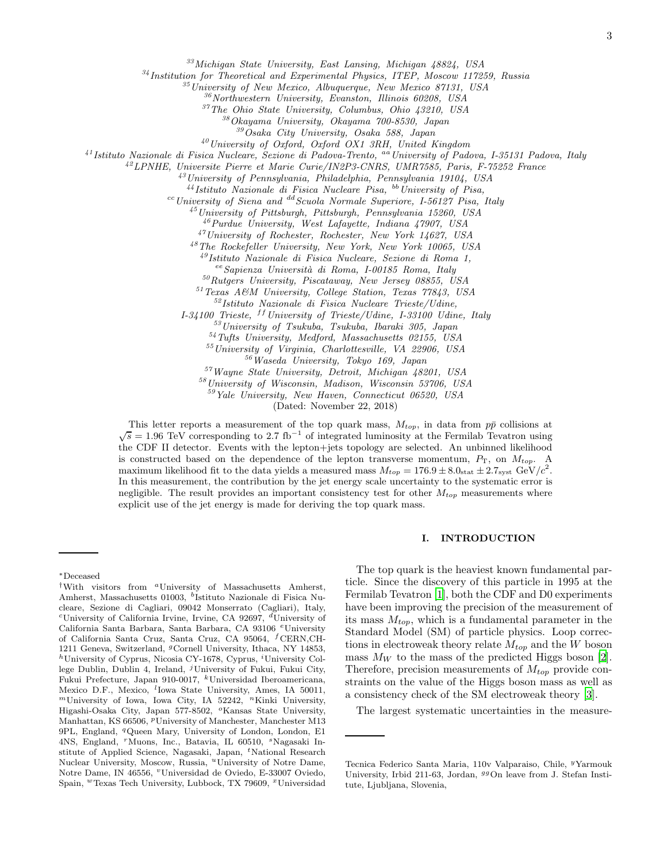<sup>33</sup>*Michigan State University, East Lansing, Michigan 48824, USA*

<sup>34</sup>*Institution for Theoretical and Experimental Physics, ITEP, Moscow 117259, Russia*

<sup>35</sup>*University of New Mexico, Albuquerque, New Mexico 87131, USA*

<sup>36</sup>*Northwestern University, Evanston, Illinois 60208, USA*

<sup>37</sup>*The Ohio State University, Columbus, Ohio 43210, USA*

<sup>38</sup>*Okayama University, Okayama 700-8530, Japan*

<sup>39</sup>*Osaka City University, Osaka 588, Japan*

<sup>40</sup>*University of Oxford, Oxford OX1 3RH, United Kingdom*

<sup>41</sup>*Istituto Nazionale di Fisica Nucleare, Sezione di Padova-Trento,* aa*University of Padova, I-35131 Padova, Italy*

<sup>42</sup>*LPNHE, Universite Pierre et Marie Curie/IN2P3-CNRS, UMR7585, Paris, F-75252 France*

<sup>43</sup>*University of Pennsylvania, Philadelphia, Pennsylvania 19104, USA*

<sup>44</sup>*Istituto Nazionale di Fisica Nucleare Pisa,* bb*University of Pisa,*

cc*University of Siena and* dd*Scuola Normale Superiore, I-56127 Pisa, Italy*

<sup>45</sup>*University of Pittsburgh, Pittsburgh, Pennsylvania 15260, USA*

<sup>46</sup>*Purdue University, West Lafayette, Indiana 47907, USA*

<sup>47</sup>*University of Rochester, Rochester, New York 14627, USA*

<sup>48</sup>*The Rockefeller University, New York, New York 10065, USA*

<sup>49</sup>*Istituto Nazionale di Fisica Nucleare, Sezione di Roma 1,*

ee*Sapienza Universit`a di Roma, I-00185 Roma, Italy*

<sup>50</sup>*Rutgers University, Piscataway, New Jersey 08855, USA*

<sup>51</sup>*Texas A&M University, College Station, Texas 77843, USA*

<sup>52</sup>*Istituto Nazionale di Fisica Nucleare Trieste/Udine,*

*I-34100 Trieste,* <sup>ff</sup> University of Trieste/Udine, I-33100 Udine, Italy

<sup>53</sup>*University of Tsukuba, Tsukuba, Ibaraki 305, Japan*

<sup>54</sup>*Tufts University, Medford, Massachusetts 02155, USA*

<sup>55</sup>*University of Virginia, Charlottesville, VA 22906, USA*

<sup>56</sup>*Waseda University, Tokyo 169, Japan*

<sup>57</sup>*Wayne State University, Detroit, Michigan 48201, USA*

<sup>58</sup>*University of Wisconsin, Madison, Wisconsin 53706, USA*

<sup>59</sup>*Yale University, New Haven, Connecticut 06520, USA*

(Dated: November 22, 2018)

This letter reports a measurement of the top quark mass,  $M_{top}$ , in data from  $p\bar{p}$  collisions at  $\sqrt{s} = 1.96 \text{ TeV}$  corresponding to 2.7 fb<sup>-1</sup> of integrated luminosity at the Fermilab Tevatron using the CDF II detector. Events with the lepton+jets topology are selected. An unbinned likelihood is constructed based on the dependence of the lepton transverse momentum,  $P_T$ , on  $M_{top}$ . A maximum likelihood fit to the data yields a measured mass  $M_{top} = 176.9 \pm 8.0_{\text{stat}} \pm 2.7_{\text{syst}} \text{ GeV}/c^2$ . In this measurement, the contribution by the jet energy scale uncertainty to the systematic error is negligible. The result provides an important consistency test for other  $M_{top}$  measurements where explicit use of the jet energy is made for deriving the top quark mass.

## I. INTRODUCTION

The top quark is the heaviest known fundamental particle. Since the discovery of this particle in 1995 at the Fermilab Tevatron [\[1](#page-11-0)], both the CDF and D0 experiments have been improving the precision of the measurement of its mass  $M_{top}$ , which is a fundamental parameter in the Standard Model (SM) of particle physics. Loop corrections in electroweak theory relate  $M_{top}$  and the W boson mass  $M_W$  to the mass of the predicted Higgs boson [\[2\]](#page-11-1). Therefore, precision measurements of  $M_{top}$  provide constraints on the value of the Higgs boson mass as well as a consistency check of the SM electroweak theory [\[3\]](#page-11-2).

The largest systematic uncertainties in the measure-

<sup>∗</sup>Deceased

<sup>&</sup>lt;sup>†</sup>With visitors from <sup>a</sup>University of Massachusetts Amherst, Amherst, Massachusetts 01003, <sup>b</sup>Istituto Nazionale di Fisica Nucleare, Sezione di Cagliari, 09042 Monserrato (Cagliari), Italy, <sup>c</sup>University of California Irvine, Irvine, CA 92697,  $d$ University of California Santa Barbara, Santa Barbara, CA 93106 <sup>e</sup>University of California Santa Cruz, Santa Cruz, CA 95064, <sup>f</sup>CERN,CH-1211 Geneva, Switzerland, <sup>g</sup>Cornell University, Ithaca, NY 14853,  $h$ University of Cyprus, Nicosia CY-1678, Cyprus, <sup>i</sup>University College Dublin, Dublin 4, Ireland,  $<sup>j</sup>$ University of Fukui, Fukui City,</sup> Fukui Prefecture, Japan 910-0017, <sup>k</sup>Universidad Iberoamericana, Mexico D.F., Mexico, <sup>l</sup>Iowa State University, Ames, IA 50011,  $<sup>m</sup>$ University of Iowa, Iowa City, IA 52242,  $<sup>n</sup>$ Kinki University,</sup></sup> Higashi-Osaka City, Japan 577-8502, <sup>o</sup>Kansas State University, Manhattan, KS 66506, <sup>*p*</sup>University of Manchester, Manchester M13 9PL, England, <sup>q</sup>Queen Mary, University of London, London, E1 4NS, England, <sup>r</sup>Muons, Inc., Batavia, IL 60510, <sup>s</sup>Nagasaki Institute of Applied Science, Nagasaki, Japan, <sup>*t*</sup>National Research Nuclear University, Moscow, Russia, "University of Notre Dame, Notre Dame, IN 46556, <sup>v</sup>Universidad de Oviedo, E-33007 Oviedo, Spain, <sup>w</sup>Texas Tech University, Lubbock, TX 79609, <sup>x</sup>Universidad

Tecnica Federico Santa Maria, 110v Valparaiso, Chile, <sup>y</sup>Yarmouk University, Irbid 211-63, Jordan, <sup>99</sup>On leave from J. Stefan Institute, Ljubljana, Slovenia,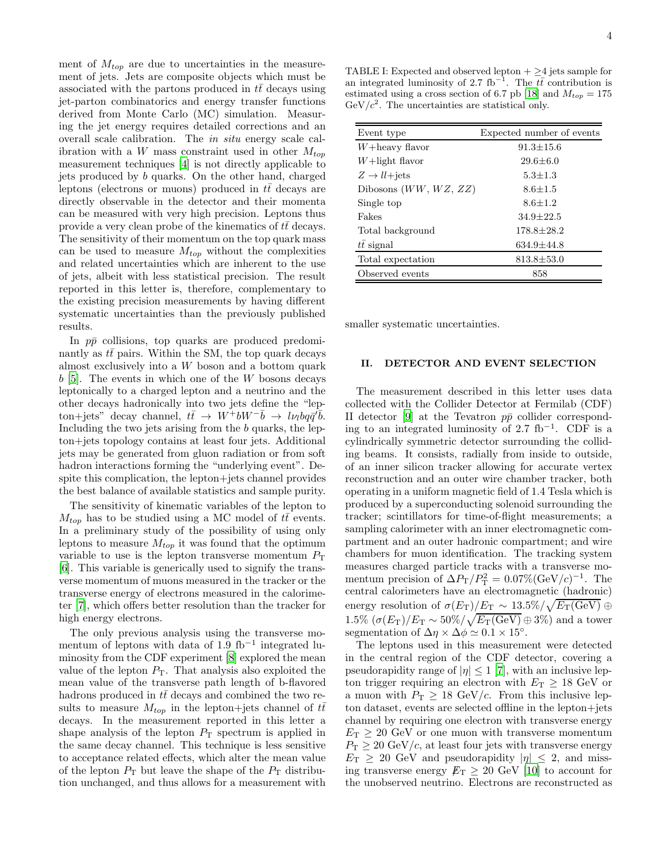ment of  $M_{top}$  are due to uncertainties in the measurement of jets. Jets are composite objects which must be associated with the partons produced in  $t\bar{t}$  decays using jet-parton combinatorics and energy transfer functions derived from Monte Carlo (MC) simulation. Measuring the jet energy requires detailed corrections and an overall scale calibration. The in situ energy scale calibration with a W mass constraint used in other  $M_{top}$ measurement techniques [\[4\]](#page-11-3) is not directly applicable to jets produced by b quarks. On the other hand, charged leptons (electrons or muons) produced in  $tt$  decays are directly observable in the detector and their momenta can be measured with very high precision. Leptons thus provide a very clean probe of the kinematics of  $t\bar{t}$  decays. The sensitivity of their momentum on the top quark mass can be used to measure  $M_{top}$  without the complexities and related uncertainties which are inherent to the use of jets, albeit with less statistical precision. The result reported in this letter is, therefore, complementary to the existing precision measurements by having different systematic uncertainties than the previously published results.

In  $p\bar{p}$  collisions, top quarks are produced predominantly as  $t\bar{t}$  pairs. Within the SM, the top quark decays almost exclusively into a W boson and a bottom quark  $b$  [\[5\]](#page-11-4). The events in which one of the W bosons decays leptonically to a charged lepton and a neutrino and the other decays hadronically into two jets define the "lepton+jets" decay channel,  $t\bar{t} \rightarrow W^+bW^-\bar{b} \rightarrow l\nu_l b q \bar{q}'\bar{b}.$ Including the two jets arising from the b quarks, the lepton+jets topology contains at least four jets. Additional jets may be generated from gluon radiation or from soft hadron interactions forming the "underlying event". Despite this complication, the lepton+jets channel provides the best balance of available statistics and sample purity.

The sensitivity of kinematic variables of the lepton to  $M_{top}$  has to be studied using a MC model of  $t\bar{t}$  events. In a preliminary study of the possibility of using only leptons to measure  $M_{top}$  it was found that the optimum variable to use is the lepton transverse momentum  $P_{\rm T}$ [\[6\]](#page-11-5). This variable is generically used to signify the transverse momentum of muons measured in the tracker or the transverse energy of electrons measured in the calorimeter [\[7\]](#page-11-6), which offers better resolution than the tracker for high energy electrons.

The only previous analysis using the transverse momentum of leptons with data of 1.9 fb−<sup>1</sup> integrated luminosity from the CDF experiment [\[8](#page-11-7)] explored the mean value of the lepton  $P_T$ . That analysis also exploited the mean value of the transverse path length of b-flavored hadrons produced in  $t\bar{t}$  decays and combined the two results to measure  $M_{top}$  in the lepton+jets channel of  $t\bar{t}$ decays. In the measurement reported in this letter a shape analysis of the lepton  $P_T$  spectrum is applied in the same decay channel. This technique is less sensitive to acceptance related effects, which alter the mean value of the lepton  $P_T$  but leave the shape of the  $P_T$  distribution unchanged, and thus allows for a measurement with

<span id="page-5-0"></span>TABLE I: Expected and observed lepton  $+ \geq 4$  jets sample for an integrated luminosity of 2.7 fb<sup>-1</sup>. The  $t\bar{t}$  contribution is estimated using a cross section of 6.7 pb [\[18](#page-11-8)] and  $M_{top} = 175$  $GeV/c^2$ . The uncertainties are statistical only.

| Event type                       | Expected number of events |
|----------------------------------|---------------------------|
| $W +$ heavy flavor               | $91.3 \pm 15.6$           |
| $W +$ light flavor               | $29.6 \pm 6.0$            |
| $Z \rightarrow ll + \text{jets}$ | $5.3 \pm 1.3$             |
| Dibosons $(WW, WZ, ZZ)$          | $8.6 + 1.5$               |
| Single top                       | $8.6 + 1.2$               |
| Fakes                            | $34.9 + 22.5$             |
| Total background                 | $178.8 + 28.2$            |
| $t\bar{t}$ signal                | $634.9 \pm 44.8$          |
| Total expectation                | $813.8 \pm 53.0$          |
| Observed events                  | 858                       |

smaller systematic uncertainties.

## II. DETECTOR AND EVENT SELECTION

The measurement described in this letter uses data collected with the Collider Detector at Fermilab (CDF) II detector [\[9](#page-11-9)] at the Tevatron  $p\bar{p}$  collider corresponding to an integrated luminosity of 2.7 fb<sup>-1</sup>. CDF is a cylindrically symmetric detector surrounding the colliding beams. It consists, radially from inside to outside, of an inner silicon tracker allowing for accurate vertex reconstruction and an outer wire chamber tracker, both operating in a uniform magnetic field of 1.4 Tesla which is produced by a superconducting solenoid surrounding the tracker; scintillators for time-of-flight measurements; a sampling calorimeter with an inner electromagnetic compartment and an outer hadronic compartment; and wire chambers for muon identification. The tracking system measures charged particle tracks with a transverse momentum precision of  $\Delta P_{\rm T}/P_{\rm T}^2 = 0.07\%({\rm GeV}/c)^{-1}$ . The central calorimeters have an electromagnetic (hadronic) energy resolution of  $\sigma(E_{\rm T})/E_{\rm T} \sim 13.5\%/\sqrt{E_{\rm T}({\rm GeV})} \oplus$  $1.5\% \left(\sigma(E_{\rm T})/E_{\rm T} \sim 50\% / \sqrt{E_{\rm T}(\rm GeV)} \oplus 3\% \right)$  and a tower segmentation of  $\Delta \eta \times \Delta \phi \simeq 0.1 \times 15^{\circ}$ .

The leptons used in this measurement were detected in the central region of the CDF detector, covering a pseudorapidity range of  $|\eta| \leq 1$  [\[7\]](#page-11-6), with an inclusive lepton trigger requiring an electron with  $E_T \geq 18$  GeV or a muon with  $P_T \geq 18 \text{ GeV}/c$ . From this inclusive lepton dataset, events are selected offline in the lepton+jets channel by requiring one electron with transverse energy  $E_T \geq 20$  GeV or one muon with transverse momentum  $P_{\rm T} \geq 20 \text{ GeV}/c$ , at least four jets with transverse energy  $E_T \geq 20$  GeV and pseudorapidity  $|\eta| \leq 2$ , and missing transverse energy  $E_T \geq 20$  GeV [\[10\]](#page-11-10) to account for the unobserved neutrino. Electrons are reconstructed as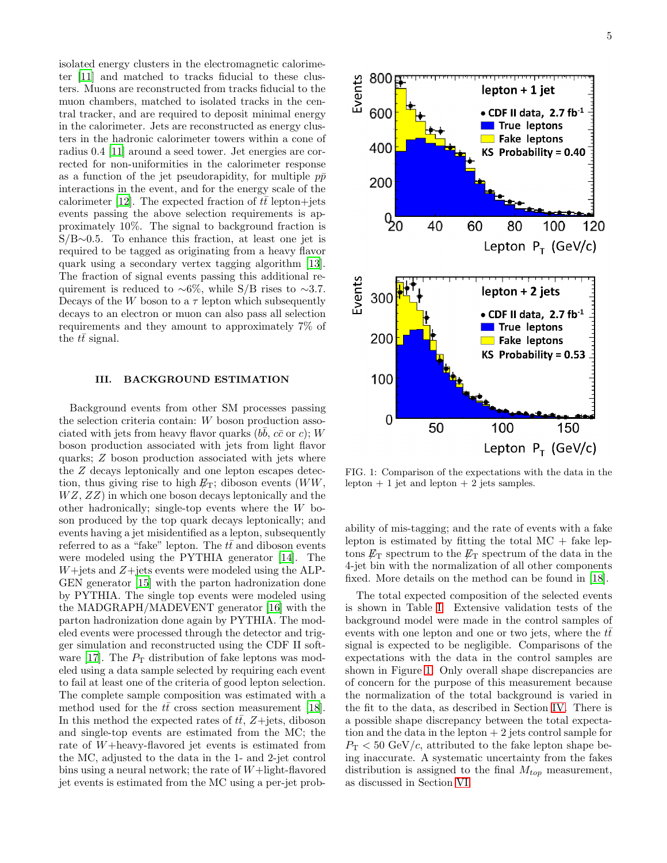isolated energy clusters in the electromagnetic calorimeter [\[11](#page-11-11)] and matched to tracks fiducial to these clusters. Muons are reconstructed from tracks fiducial to the muon chambers, matched to isolated tracks in the central tracker, and are required to deposit minimal energy in the calorimeter. Jets are reconstructed as energy clusters in the hadronic calorimeter towers within a cone of radius 0.4 [\[11](#page-11-11)] around a seed tower. Jet energies are corrected for non-uniformities in the calorimeter response as a function of the jet pseudorapidity, for multiple  $p\bar{p}$ interactions in the event, and for the energy scale of the calorimeter [\[12\]](#page-11-12). The expected fraction of  $t\bar{t}$  lepton+jets events passing the above selection requirements is approximately 10%. The signal to background fraction is S/B∼0.5. To enhance this fraction, at least one jet is required to be tagged as originating from a heavy flavor quark using a secondary vertex tagging algorithm [\[13\]](#page-11-13). The fraction of signal events passing this additional requirement is reduced to ∼6%, while S/B rises to ∼3.7. Decays of the W boson to a  $\tau$  lepton which subsequently decays to an electron or muon can also pass all selection requirements and they amount to approximately 7% of the  $t\bar{t}$  signal.

## III. BACKGROUND ESTIMATION

Background events from other SM processes passing the selection criteria contain: W boson production associated with jets from heavy flavor quarks  $(b\bar{b}, c\bar{c})$  or c); W boson production associated with jets from light flavor quarks; Z boson production associated with jets where the Z decays leptonically and one lepton escapes detection, thus giving rise to high  $E_T$ ; diboson events (WW,  $WZ, ZZ$ ) in which one boson decays leptonically and the other hadronically; single-top events where the W boson produced by the top quark decays leptonically; and events having a jet misidentified as a lepton, subsequently referred to as a "fake" lepton. The  $t\bar{t}$  and diboson events were modeled using the PYTHIA generator [\[14](#page-11-14)]. The  $W +$ jets and  $Z +$ jets events were modeled using the ALP-GEN generator [\[15\]](#page-11-15) with the parton hadronization done by PYTHIA. The single top events were modeled using the MADGRAPH/MADEVENT generator [\[16\]](#page-11-16) with the parton hadronization done again by PYTHIA. The modeled events were processed through the detector and trigger simulation and reconstructed using the CDF II soft-ware [\[17](#page-11-17)]. The  $P<sub>T</sub>$  distribution of fake leptons was modeled using a data sample selected by requiring each event to fail at least one of the criteria of good lepton selection. The complete sample composition was estimated with a method used for the  $t\bar{t}$  cross section measurement [\[18\]](#page-11-8). In this method the expected rates of  $t\bar{t}$ ,  $Z + \text{jets}$ , diboson and single-top events are estimated from the MC; the rate of W+heavy-flavored jet events is estimated from the MC, adjusted to the data in the 1- and 2-jet control bins using a neural network; the rate of  $W+$ light-flavored jet events is estimated from the MC using a per-jet prob-



<span id="page-6-0"></span>FIG. 1: Comparison of the expectations with the data in the lepton  $+1$  jet and lepton  $+2$  jets samples.

ability of mis-tagging; and the rate of events with a fake lepton is estimated by fitting the total  $MC +$  fake leptons  $\not\!\!E_T$  spectrum to the  $\not\!\!E_T$  spectrum of the data in the 4-jet bin with the normalization of all other components fixed. More details on the method can be found in [\[18\]](#page-11-8).

The total expected composition of the selected events is shown in Table [I.](#page-5-0) Extensive validation tests of the background model were made in the control samples of events with one lepton and one or two jets, where the  $t\bar{t}$ signal is expected to be negligible. Comparisons of the expectations with the data in the control samples are shown in Figure [1.](#page-6-0) Only overall shape discrepancies are of concern for the purpose of this measurement because the normalization of the total background is varied in the fit to the data, as described in Section [IV.](#page-7-0) There is a possible shape discrepancy between the total expectation and the data in the lepton  $+2$  jets control sample for  $P_{\rm T}$  < 50 GeV/c, attributed to the fake lepton shape being inaccurate. A systematic uncertainty from the fakes distribution is assigned to the final  $M_{top}$  measurement, as discussed in Section [VI.](#page-9-0)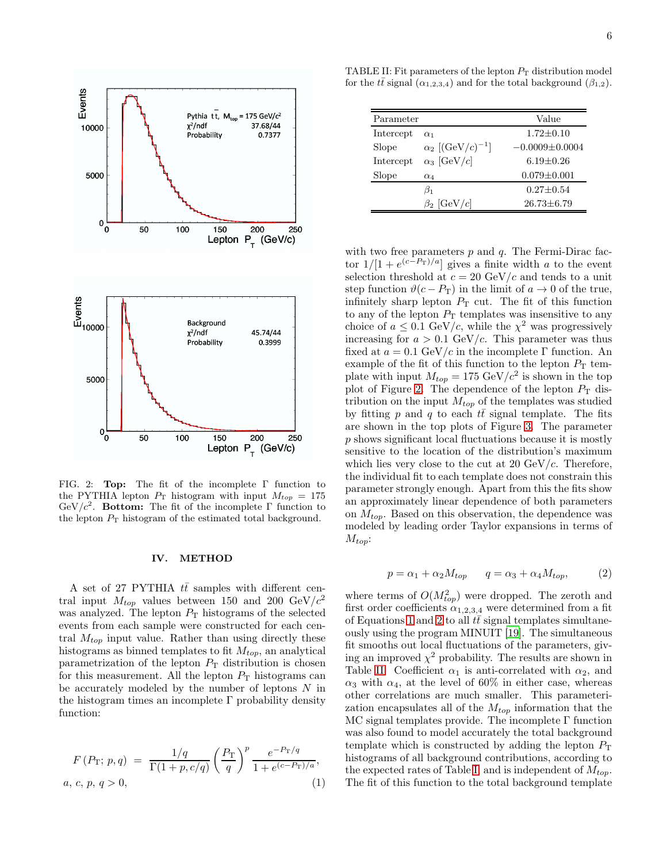

<span id="page-7-1"></span>FIG. 2: Top: The fit of the incomplete Γ function to the PYTHIA lepton  $P_T$  histogram with input  $M_{top} = 175$ GeV/ $c^2$ . Bottom: The fit of the incomplete  $\Gamma$  function to the lepton  $P_T$  histogram of the estimated total background.

### <span id="page-7-0"></span>IV. METHOD

A set of 27 PYTHIA  $t\bar{t}$  samples with different central input  $M_{top}$  values between 150 and 200 GeV/ $c^2$ was analyzed. The lepton  $P<sub>T</sub>$  histograms of the selected events from each sample were constructed for each central  $M_{top}$  input value. Rather than using directly these histograms as binned templates to fit  $M_{top}$ , an analytical parametrization of the lepton  $P<sub>T</sub>$  distribution is chosen for this measurement. All the lepton  $P<sub>T</sub>$  histograms can be accurately modeled by the number of leptons  $N$  in the histogram times an incomplete  $\Gamma$  probability density function:

<span id="page-7-2"></span>
$$
F(P_T; p, q) = \frac{1/q}{\Gamma(1 + p, c/q)} \left(\frac{P_T}{q}\right)^p \frac{e^{-P_T/q}}{1 + e^{(c - P_T)/a}},
$$
  
a, c, p, q > 0, (1)

TABLE II: Fit parameters of the lepton  $P_T$  distribution model for the  $t\bar{t}$  signal ( $\alpha_{1,2,3,4}$ ) and for the total background ( $\beta_{1,2}$ ).

<span id="page-7-4"></span>

| Parameter |                                        | Value                |
|-----------|----------------------------------------|----------------------|
| Intercept | $\alpha_1$                             | $1.72 \pm 0.10$      |
| Slope     | $\alpha_2 \left[ (GeV/c)^{-1} \right]$ | $-0.0009 \pm 0.0004$ |
| Intercept | $\alpha_3$ [GeV/c]                     | $6.19 + 0.26$        |
| Slope     | $\alpha_4$                             | $0.079 \pm 0.001$    |
|           | $\beta_1$                              | $0.27 \pm 0.54$      |
|           | $\beta_2$ [GeV/c]                      | $26.73 \pm 6.79$     |

with two free parameters  $p$  and  $q$ . The Fermi-Dirac factor  $1/[1+e^{(c-P_T)/a}]$  gives a finite width a to the event selection threshold at  $c = 20 \text{ GeV}/c$  and tends to a unit step function  $\vartheta(c - P_T)$  in the limit of  $a \to 0$  of the true, infinitely sharp lepton  $P_T$  cut. The fit of this function to any of the lepton  $P<sub>T</sub>$  templates was insensitive to any choice of  $a \leq 0.1$  GeV/c, while the  $\chi^2$  was progressively increasing for  $a > 0.1$  GeV/c. This parameter was thus fixed at  $a = 0.1$  GeV/c in the incomplete Γ function. An example of the fit of this function to the lepton  $P_T$  template with input  $M_{top} = 175 \text{ GeV}/c^2$  is shown in the top plot of Figure [2.](#page-7-1) The dependence of the lepton  $P_T$  distribution on the input  $M_{top}$  of the templates was studied by fitting p and q to each  $t\bar{t}$  signal template. The fits are shown in the top plots of Figure [3.](#page-8-0) The parameter p shows significant local fluctuations because it is mostly sensitive to the location of the distribution's maximum which lies very close to the cut at 20  $GeV/c$ . Therefore, the individual fit to each template does not constrain this parameter strongly enough. Apart from this the fits show an approximately linear dependence of both parameters on  $M_{top}$ . Based on this observation, the dependence was modeled by leading order Taylor expansions in terms of  $M_{top}$ :

<span id="page-7-3"></span>
$$
p = \alpha_1 + \alpha_2 M_{top} \qquad q = \alpha_3 + \alpha_4 M_{top}, \tag{2}
$$

where terms of  $O(M_{top}^2)$  were dropped. The zeroth and first order coefficients  $\alpha_{1,2,3,4}$  were determined from a fit of Equations [1](#page-7-2) and [2](#page-7-3) to all  $tt$  signal templates simultaneously using the program MINUIT [\[19\]](#page-11-18). The simultaneous fit smooths out local fluctuations of the parameters, giving an improved  $\chi^2$  probability. The results are shown in Table [II.](#page-7-4) Coefficient  $\alpha_1$  is anti-correlated with  $\alpha_2$ , and  $\alpha_3$  with  $\alpha_4$ , at the level of 60% in either case, whereas other correlations are much smaller. This parameterization encapsulates all of the  $M_{top}$  information that the MC signal templates provide. The incomplete Γ function was also found to model accurately the total background template which is constructed by adding the lepton  $P_{\rm T}$ histograms of all background contributions, according to the expected rates of Table [I,](#page-5-0) and is independent of  $M_{top}$ . The fit of this function to the total background template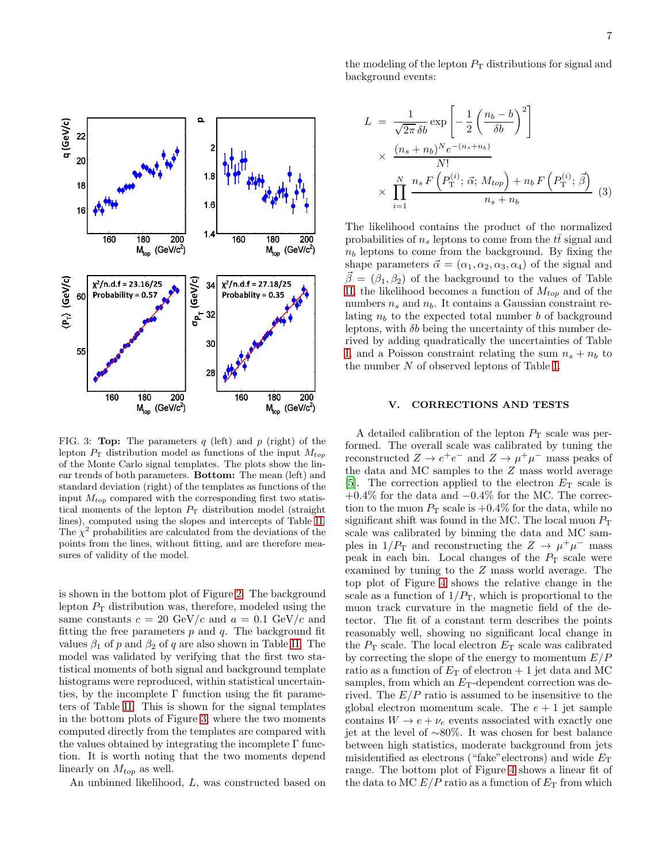

<span id="page-8-0"></span>FIG. 3: **Top:** The parameters  $q$  (left) and  $p$  (right) of the lepton  $P_T$  distribution model as functions of the input  $M_{top}$ of the Monte Carlo signal templates. The plots show the linear trends of both parameters. Bottom: The mean (left) and standard deviation (right) of the templates as functions of the input  $M_{top}$  compared with the corresponding first two statistical moments of the lepton  $P_T$  distribution model (straight lines), computed using the slopes and intercepts of Table [II.](#page-7-4) The  $\chi^2$  probabilities are calculated from the deviations of the points from the lines, without fitting, and are therefore measures of validity of the model.

is shown in the bottom plot of Figure [2.](#page-7-1) The background lepton  $P_T$  distribution was, therefore, modeled using the same constants  $c = 20 \text{ GeV}/c$  and  $a = 0.1 \text{ GeV}/c$  and fitting the free parameters  $p$  and  $q$ . The background fit values  $\beta_1$  of p and  $\beta_2$  of q are also shown in Table [II.](#page-7-4) The model was validated by verifying that the first two statistical moments of both signal and background template histograms were reproduced, within statistical uncertainties, by the incomplete  $\Gamma$  function using the fit parameters of Table [II.](#page-7-4) This is shown for the signal templates in the bottom plots of Figure [3,](#page-8-0) where the two moments computed directly from the templates are compared with the values obtained by integrating the incomplete  $\Gamma$  function. It is worth noting that the two moments depend linearly on  $M_{top}$  as well.

An unbinned likelihood, L, was constructed based on

the modeling of the lepton  $P<sub>T</sub>$  distributions for signal and background events:

<span id="page-8-1"></span>
$$
L = \frac{1}{\sqrt{2\pi} \delta b} \exp\left[-\frac{1}{2} \left(\frac{n_b - b}{\delta b}\right)^2\right]
$$
  
 
$$
\times \frac{(n_s + n_b)^N e^{-(n_s + n_b)}}{N!}
$$
  
 
$$
\times \prod_{i=1}^N \frac{n_s F\left(P_{\text{T}}^{(i)}; \vec{\alpha}; M_{top}\right) + n_b F\left(P_{\text{T}}^{(i)}; \vec{\beta}\right)}{n_s + n_b} \tag{3}
$$

The likelihood contains the product of the normalized probabilities of  $n_s$  leptons to come from the  $t\bar{t}$  signal and  $n_b$  leptons to come from the background. By fixing the shape parameters  $\vec{\alpha} = (\alpha_1, \alpha_2, \alpha_3, \alpha_4)$  of the signal and  $\vec{\beta} = (\beta_1, \beta_2)$  of the background to the values of Table [II,](#page-7-4) the likelihood becomes a function of  $M_{top}$  and of the numbers  $n_s$  and  $n_b$ . It contains a Gaussian constraint relating  $n_b$  to the expected total number b of background leptons, with  $\delta b$  being the uncertainty of this number derived by adding quadratically the uncertainties of Table [I,](#page-5-0) and a Poisson constraint relating the sum  $n_s + n_b$  to the number N of observed leptons of Table [I.](#page-5-0)

#### V. CORRECTIONS AND TESTS

A detailed calibration of the lepton  $P_T$  scale was performed. The overall scale was calibrated by tuning the reconstructed  $Z \to e^+e^-$  and  $Z \to \mu^+\mu^-$  mass peaks of the data and MC samples to the Z mass world average [\[5\]](#page-11-4). The correction applied to the electron  $E_T$  scale is +0.4% for the data and −0.4% for the MC. The correction to the muon  $P_T$  scale is  $+0.4\%$  for the data, while no significant shift was found in the MC. The local muon  $P<sub>T</sub>$ scale was calibrated by binning the data and MC samples in  $1/P_T$  and reconstructing the  $Z \to \mu^+\mu^-$  mass peak in each bin. Local changes of the  $P<sub>T</sub>$  scale were examined by tuning to the Z mass world average. The top plot of Figure [4](#page-9-1) shows the relative change in the scale as a function of  $1/P_T$ , which is proportional to the muon track curvature in the magnetic field of the detector. The fit of a constant term describes the points reasonably well, showing no significant local change in the  $P_T$  scale. The local electron  $E_T$  scale was calibrated by correcting the slope of the energy to momentum  $E/P$ ratio as a function of  $E_T$  of electron + 1 jet data and MC samples, from which an  $E_T$ -dependent correction was derived. The  $E/P$  ratio is assumed to be insensitive to the global electron momentum scale. The  $e + 1$  jet sample contains  $W \to e + \nu_e$  events associated with exactly one jet at the level of ∼80%. It was chosen for best balance between high statistics, moderate background from jets misidentified as electrons ("fake" electrons) and wide  $E_T$ range. The bottom plot of Figure [4](#page-9-1) shows a linear fit of the data to MC  $E/P$  ratio as a function of  $E_T$  from which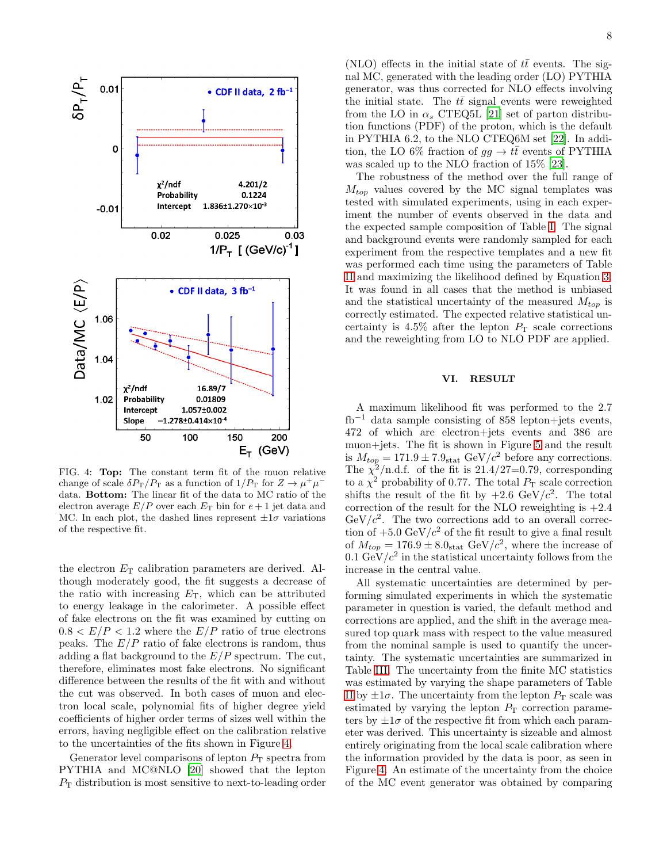

<span id="page-9-1"></span>FIG. 4: Top: The constant term fit of the muon relative change of scale  $\delta P_{\rm T}/P_{\rm T}$  as a function of  $1/P_{\rm T}$  for  $Z \to \mu^+ \mu^$ data. Bottom: The linear fit of the data to MC ratio of the electron average  $E/P$  over each  $E_T$  bin for  $e+1$  jet data and MC. In each plot, the dashed lines represent  $\pm 1\sigma$  variations of the respective fit.

the electron  $E_T$  calibration parameters are derived. Although moderately good, the fit suggests a decrease of the ratio with increasing  $E_T$ , which can be attributed to energy leakage in the calorimeter. A possible effect of fake electrons on the fit was examined by cutting on  $0.8 < E/P < 1.2$  where the  $E/P$  ratio of true electrons peaks. The  $E/P$  ratio of fake electrons is random, thus adding a flat background to the  $E/P$  spectrum. The cut, therefore, eliminates most fake electrons. No significant difference between the results of the fit with and without the cut was observed. In both cases of muon and electron local scale, polynomial fits of higher degree yield coefficients of higher order terms of sizes well within the errors, having negligible effect on the calibration relative to the uncertainties of the fits shown in Figure [4.](#page-9-1)

Generator level comparisons of lepton  $P<sub>T</sub>$  spectra from PYTHIA and MC@NLO [\[20\]](#page-11-19) showed that the lepton  $P<sub>T</sub>$  distribution is most sensitive to next-to-leading order

(NLO) effects in the initial state of  $t\bar{t}$  events. The signal MC, generated with the leading order (LO) PYTHIA generator, was thus corrected for NLO effects involving the initial state. The  $t\bar{t}$  signal events were reweighted from the LO in  $\alpha_s$  CTEQ5L [\[21\]](#page-11-20) set of parton distribution functions (PDF) of the proton, which is the default in PYTHIA 6.2, to the NLO CTEQ6M set [\[22\]](#page-11-21). In addition, the LO 6% fraction of  $gg \to t\bar{t}$  events of PYTHIA was scaled up to the NLO fraction of 15% [\[23\]](#page-11-22).

The robustness of the method over the full range of  $M_{top}$  values covered by the MC signal templates was tested with simulated experiments, using in each experiment the number of events observed in the data and the expected sample composition of Table [I.](#page-5-0) The signal and background events were randomly sampled for each experiment from the respective templates and a new fit was performed each time using the parameters of Table [II](#page-7-4) and maximizing the likelihood defined by Equation [3.](#page-8-1) It was found in all cases that the method is unbiased and the statistical uncertainty of the measured  $M_{top}$  is correctly estimated. The expected relative statistical uncertainty is  $4.5\%$  after the lepton  $P<sub>T</sub>$  scale corrections and the reweighting from LO to NLO PDF are applied.

#### <span id="page-9-0"></span>VI. RESULT

A maximum likelihood fit was performed to the 2.7 fb<sup>−</sup><sup>1</sup> data sample consisting of 858 lepton+jets events, 472 of which are electron+jets events and 386 are muon+jets. The fit is shown in Figure [5](#page-10-0) and the result is  $M_{top} = 171.9 \pm 7.9_{stat}$  GeV/ $c^2$  before any corrections. The  $\chi^2$ /n.d.f. of the fit is 21.4/27=0.79, corresponding to a  $\chi^2$  probability of 0.77. The total  $P_T$  scale correction shifts the result of the fit by  $+2.6 \text{ GeV}/c^2$ . The total correction of the result for the NLO reweighting is  $+2.4$  $GeV/c^2$ . The two corrections add to an overall correction of  $+5.0 \text{ GeV}/c^2$  of the fit result to give a final result of  $M_{top} = 176.9 \pm 8.0$ <sub>stat</sub> GeV/ $c^2$ , where the increase of  $0.1 \text{ GeV}/c^2$  in the statistical uncertainty follows from the increase in the central value.

All systematic uncertainties are determined by performing simulated experiments in which the systematic parameter in question is varied, the default method and corrections are applied, and the shift in the average measured top quark mass with respect to the value measured from the nominal sample is used to quantify the uncertainty. The systematic uncertainties are summarized in Table [III.](#page-10-1) The uncertainty from the finite MC statistics was estimated by varying the shape parameters of Table [II](#page-7-4) by  $\pm 1\sigma$ . The uncertainty from the lepton  $P_T$  scale was estimated by varying the lepton  $P<sub>T</sub>$  correction parameters by  $\pm 1\sigma$  of the respective fit from which each parameter was derived. This uncertainty is sizeable and almost entirely originating from the local scale calibration where the information provided by the data is poor, as seen in Figure [4.](#page-9-1) An estimate of the uncertainty from the choice of the MC event generator was obtained by comparing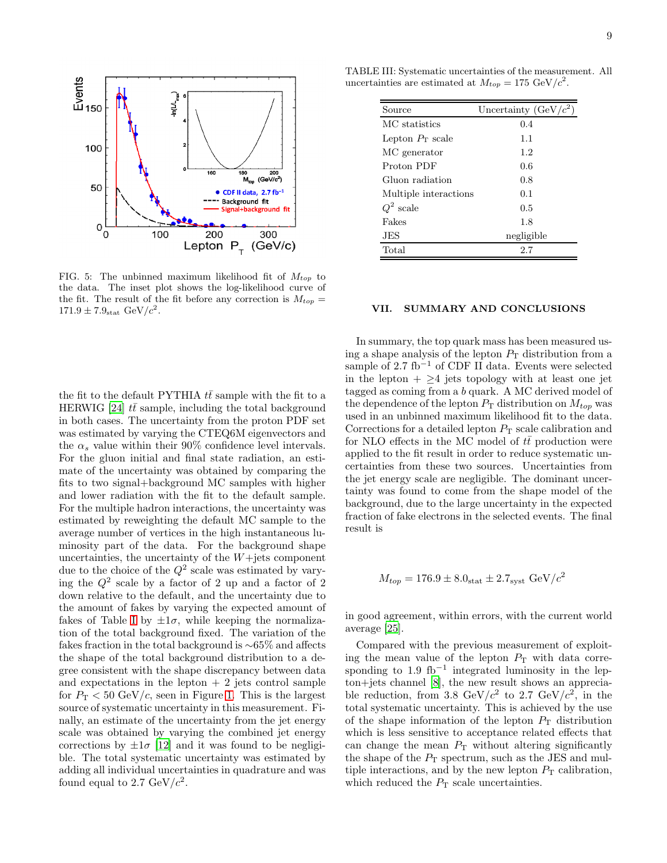

<span id="page-10-1"></span>

| Source                | Uncertainty $(GeV/c2)$ |
|-----------------------|------------------------|
| MC statistics         | 0.4                    |
| Lepton $P_T$ scale    | 1.1                    |
| MC generator          | 1.2                    |
| Proton PDF            | 0.6                    |
| Gluon radiation       | 0.8                    |
| Multiple interactions | 0.1                    |
| $Q^2$ scale           | 0.5                    |
| Fakes                 | 1.8                    |
| JES                   | negligible             |
| Total                 | 2.7                    |

<span id="page-10-0"></span>FIG. 5: The unbinned maximum likelihood fit of  $M_{top}$  to the data. The inset plot shows the log-likelihood curve of the fit. The result of the fit before any correction is  $M_{top} =$  $171.9 \pm 7.9_{\rm stat} \text{ GeV}/c^2$ .

the fit to the default PYTHIA  $t\bar{t}$  sample with the fit to a HERWIG [\[24](#page-11-23)]  $t\bar{t}$  sample, including the total background in both cases. The uncertainty from the proton PDF set was estimated by varying the CTEQ6M eigenvectors and the  $\alpha_s$  value within their 90% confidence level intervals. For the gluon initial and final state radiation, an estimate of the uncertainty was obtained by comparing the fits to two signal+background MC samples with higher and lower radiation with the fit to the default sample. For the multiple hadron interactions, the uncertainty was estimated by reweighting the default MC sample to the average number of vertices in the high instantaneous luminosity part of the data. For the background shape uncertainties, the uncertainty of the  $W+$ jets component due to the choice of the  $Q^2$  scale was estimated by varying the  $Q^2$  scale by a factor of 2 up and a factor of 2 down relative to the default, and the uncertainty due to the amount of fakes by varying the expected amount of fakes of Table [I](#page-5-0) by  $\pm 1\sigma$ , while keeping the normalization of the total background fixed. The variation of the fakes fraction in the total background is ∼65% and affects the shape of the total background distribution to a degree consistent with the shape discrepancy between data and expectations in the lepton  $+2$  jets control sample for  $P_T < 50 \text{ GeV}/c$ , seen in Figure [1.](#page-6-0) This is the largest source of systematic uncertainty in this measurement. Finally, an estimate of the uncertainty from the jet energy scale was obtained by varying the combined jet energy corrections by  $\pm 1\sigma$  [\[12](#page-11-12)] and it was found to be negligible. The total systematic uncertainty was estimated by adding all individual uncertainties in quadrature and was found equal to 2.7 GeV/ $c^2$ .

VII. SUMMARY AND CONCLUSIONS

In summary, the top quark mass has been measured using a shape analysis of the lepton  $P<sub>T</sub>$  distribution from a sample of 2.7 fb<sup>−</sup><sup>1</sup> of CDF II data. Events were selected in the lepton  $+ > 4$  jets topology with at least one jet tagged as coming from a b quark. A MC derived model of the dependence of the lepton  $P_T$  distribution on  $M_{top}$  was used in an unbinned maximum likelihood fit to the data. Corrections for a detailed lepton  $P<sub>T</sub>$  scale calibration and for NLO effects in the MC model of  $t\bar{t}$  production were applied to the fit result in order to reduce systematic uncertainties from these two sources. Uncertainties from the jet energy scale are negligible. The dominant uncertainty was found to come from the shape model of the background, due to the large uncertainty in the expected fraction of fake electrons in the selected events. The final result is

$$
M_{top} = 176.9 \pm 8.0_{\rm stat} \pm 2.7_{\rm syst} \,\text{GeV}/c^2
$$

in good agreement, within errors, with the current world average [\[25\]](#page-11-24).

Compared with the previous measurement of exploiting the mean value of the lepton  $P<sub>T</sub>$  with data corresponding to  $1.9 \text{ fb}^{-1}$  integrated luminosity in the lepton+jets channel [\[8\]](#page-11-7), the new result shows an appreciable reduction, from 3.8  $GeV/c^2$  to 2.7  $GeV/c^2$ , in the total systematic uncertainty. This is achieved by the use of the shape information of the lepton  $P<sub>T</sub>$  distribution which is less sensitive to acceptance related effects that can change the mean  $P<sub>T</sub>$  without altering significantly the shape of the  $P_T$  spectrum, such as the JES and multiple interactions, and by the new lepton  $P<sub>T</sub>$  calibration, which reduced the  $P_{\rm T}$  scale uncertainties.